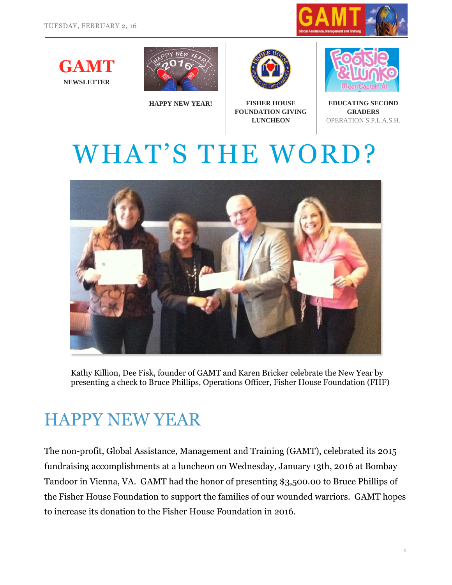











**EDUCATING SECOND GRADERS** OPERATION S.P.L.A.S.H.

# WHAT'S THE WORD?



Kathy Killion, Dee Fisk, founder of GAMT and Karen Bricker celebrate the New Year by presenting a check to Bruce Phillips, Operations Officer, Fisher House Foundation (FHF)

#### HAPPY NEW YEAR

The non-profit, Global Assistance, Management and Training (GAMT), celebrated its 2015 fundraising accomplishments at a luncheon on Wednesday, January 13th, 2016 at Bombay Tandoor in Vienna, VA. GAMT had the honor of presenting \$3,500.00 to Bruce Phillips of the Fisher House Foundation to support the families of our wounded warriors. GAMT hopes to increase its donation to the Fisher House Foundation in 2016.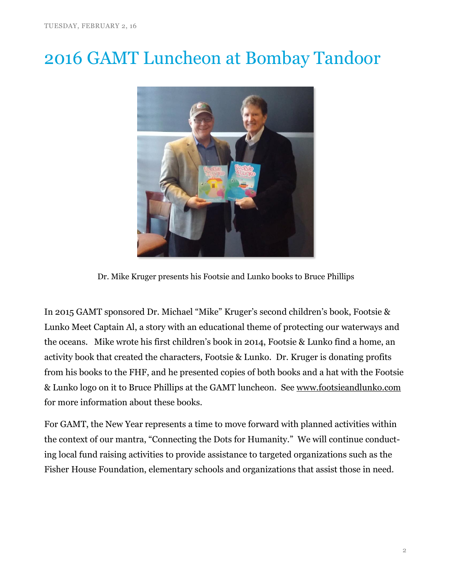### 2016 GAMT Luncheon at Bombay Tandoor



Dr. Mike Kruger presents his Footsie and Lunko books to Bruce Phillips

In 2015 GAMT sponsored Dr. Michael "Mike" Kruger's second children's book, Footsie & Lunko Meet Captain Al, a story with an educational theme of protecting our waterways and the oceans. Mike wrote his first children's book in 2014, Footsie & Lunko find a home, an activity book that created the characters, Footsie & Lunko. Dr. Kruger is donating profits from his books to the FHF, and he presented copies of both books and a hat with the Footsie & Lunko logo on it to Bruce Phillips at the GAMT luncheon. See [www.footsieandlunko.com](http://www.footsieandlunko.com/) for more information about these books.

For GAMT, the New Year represents a time to move forward with planned activities within the context of our mantra, "Connecting the Dots for Humanity." We will continue conducting local fund raising activities to provide assistance to targeted organizations such as the Fisher House Foundation, elementary schools and organizations that assist those in need.